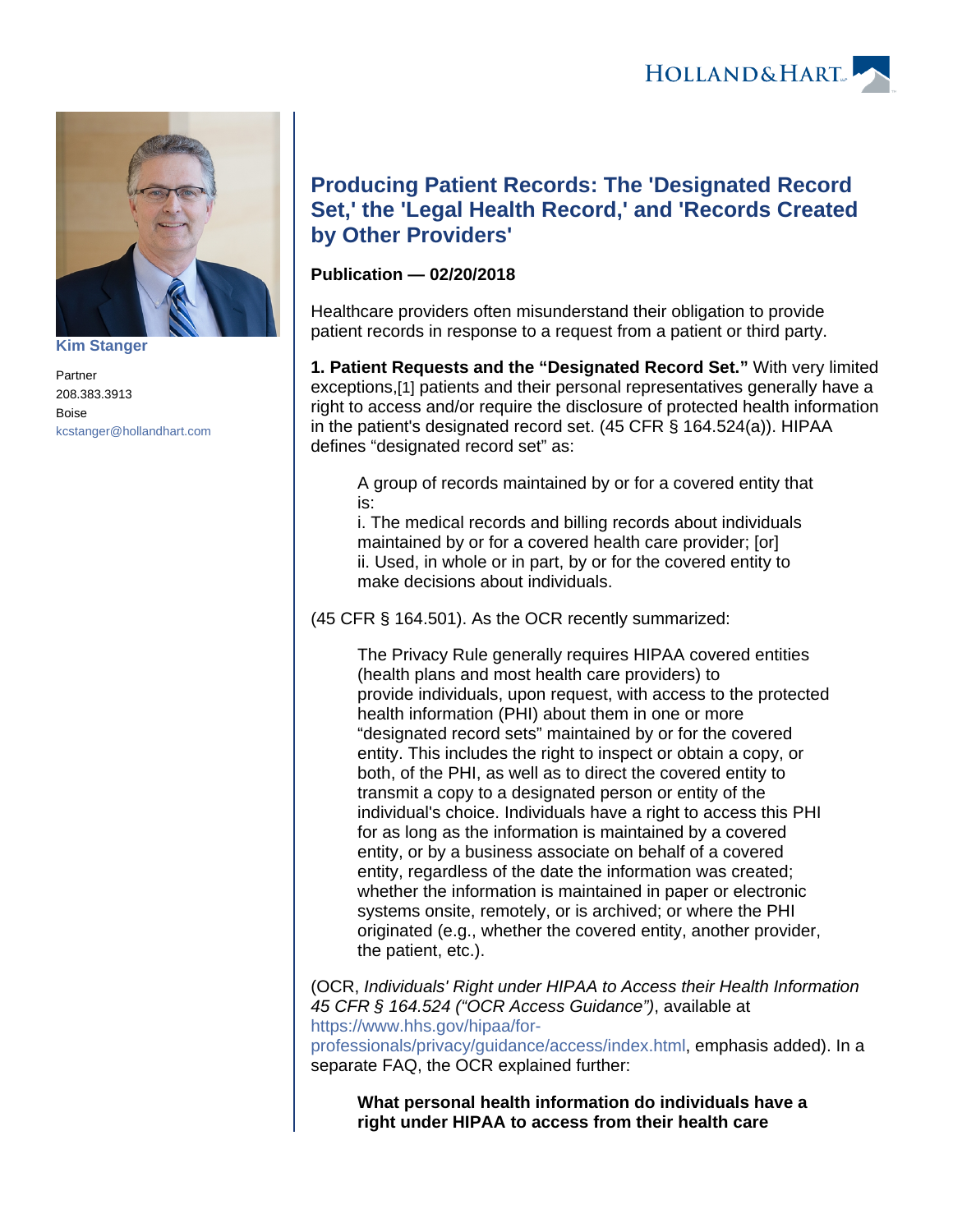



**[Kim Stanger](https://www.hollandhart.com/15954)**

Partner 208.383.3913 Boise [kcstanger@hollandhart.com](mailto:kcstanger@hollandhart.com)

# **Producing Patient Records: The 'Designated Record Set,' the 'Legal Health Record,' and 'Records Created by Other Providers'**

## **Publication — 02/20/2018**

Healthcare providers often misunderstand their obligation to provide patient records in response to a request from a patient or third party.

<span id="page-0-0"></span>**1. Patient Requests and the "Designated Record Set."** With very limited exceptions,[\[1\]](#page-4-0) patients and their personal representatives generally have a right to access and/or require the disclosure of protected health information in the patient's designated record set. (45 CFR § 164.524(a)). HIPAA defines "designated record set" as:

A group of records maintained by or for a covered entity that is:

i. The medical records and billing records about individuals maintained by or for a covered health care provider; [or] ii. Used, in whole or in part, by or for the covered entity to make decisions about individuals.

(45 CFR § 164.501). As the OCR recently summarized:

The Privacy Rule generally requires HIPAA covered entities (health plans and most health care providers) to provide individuals, upon request, with access to the protected health information (PHI) about them in one or more "designated record sets" maintained by or for the covered entity. This includes the right to inspect or obtain a copy, or both, of the PHI, as well as to direct the covered entity to transmit a copy to a designated person or entity of the individual's choice. Individuals have a right to access this PHI for as long as the information is maintained by a covered entity, or by a business associate on behalf of a covered entity, regardless of the date the information was created; whether the information is maintained in paper or electronic systems onsite, remotely, or is archived; or where the PHI originated (e.g., whether the covered entity, another provider, the patient, etc.).

(OCR, Individuals' Right under HIPAA to Access their Health Information 45 CFR § 164.524 ("OCR Access Guidance"), available at [https://www.hhs.gov/hipaa/for-](https://www.hhs.gov/hipaa/for-professionals/privacy/guidance/access/index.html)

[professionals/privacy/guidance/access/index.html,](https://www.hhs.gov/hipaa/for-professionals/privacy/guidance/access/index.html) emphasis added). In a separate FAQ, the OCR explained further:

**What personal health information do individuals have a right under HIPAA to access from their health care**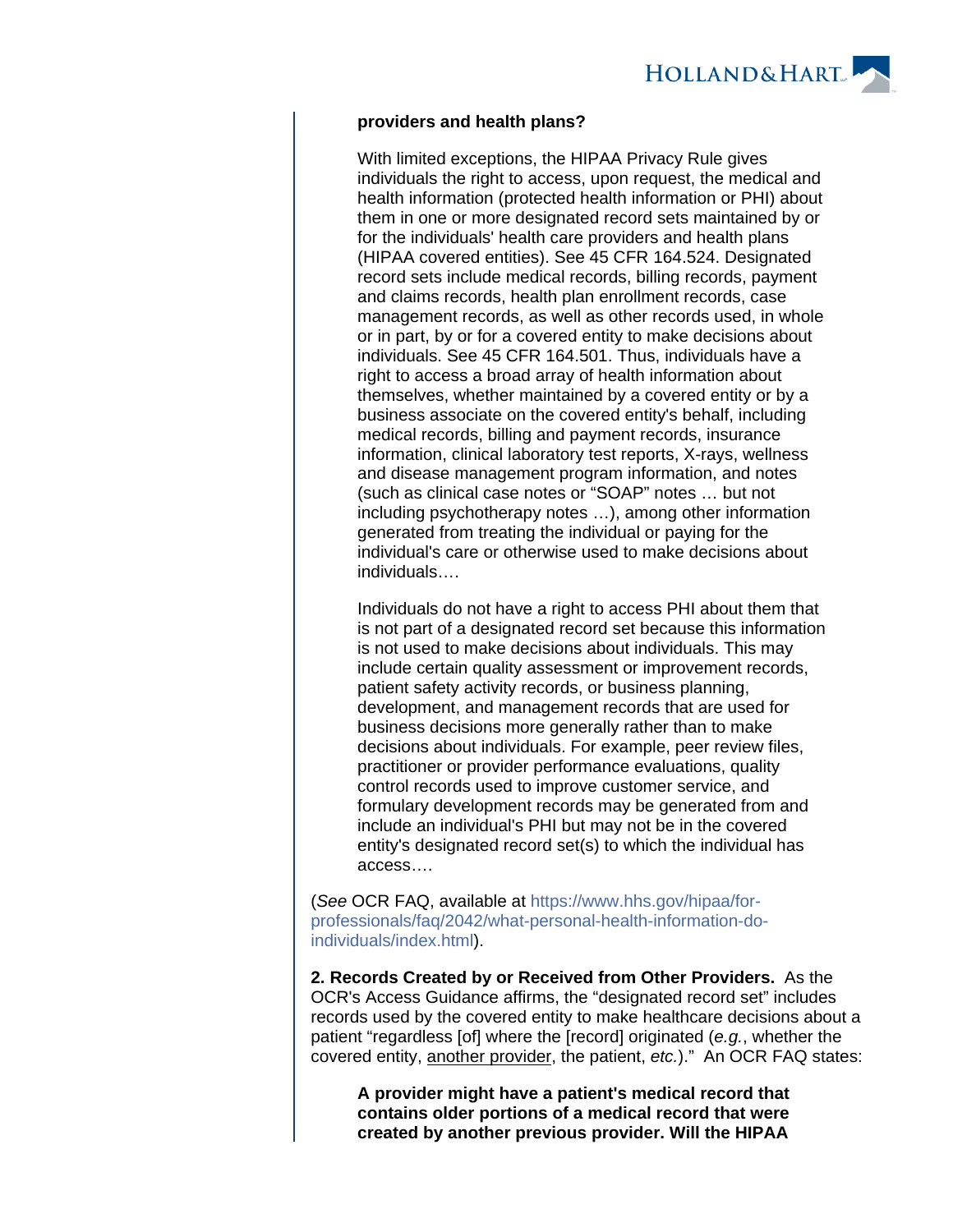

#### **providers and health plans?**

With limited exceptions, the HIPAA Privacy Rule gives individuals the right to access, upon request, the medical and health information (protected health information or PHI) about them in one or more designated record sets maintained by or for the individuals' health care providers and health plans (HIPAA covered entities). See 45 CFR 164.524. Designated record sets include medical records, billing records, payment and claims records, health plan enrollment records, case management records, as well as other records used, in whole or in part, by or for a covered entity to make decisions about individuals. See 45 CFR 164.501. Thus, individuals have a right to access a broad array of health information about themselves, whether maintained by a covered entity or by a business associate on the covered entity's behalf, including medical records, billing and payment records, insurance information, clinical laboratory test reports, X-rays, wellness and disease management program information, and notes (such as clinical case notes or "SOAP" notes … but not including psychotherapy notes …), among other information generated from treating the individual or paying for the individual's care or otherwise used to make decisions about individuals….

Individuals do not have a right to access PHI about them that is not part of a designated record set because this information is not used to make decisions about individuals. This may include certain quality assessment or improvement records, patient safety activity records, or business planning, development, and management records that are used for business decisions more generally rather than to make decisions about individuals. For example, peer review files, practitioner or provider performance evaluations, quality control records used to improve customer service, and formulary development records may be generated from and include an individual's PHI but may not be in the covered entity's designated record set(s) to which the individual has access….

(See OCR FAQ, available at [https://www.hhs.gov/hipaa/for](https://www.hhs.gov/hipaa/for-professionals/faq/2042/what-personal-health-information-do-individuals/index.html)[professionals/faq/2042/what-personal-health-information-do](https://www.hhs.gov/hipaa/for-professionals/faq/2042/what-personal-health-information-do-individuals/index.html)[individuals/index.html](https://www.hhs.gov/hipaa/for-professionals/faq/2042/what-personal-health-information-do-individuals/index.html)).

**2. Records Created by or Received from Other Providers.** As the OCR's Access Guidance affirms, the "designated record set" includes records used by the covered entity to make healthcare decisions about a patient "regardless [of] where the [record] originated (e.g., whether the covered entity, another provider, the patient, etc.)." An OCR FAQ states:

**A provider might have a patient's medical record that contains older portions of a medical record that were created by another previous provider. Will the HIPAA**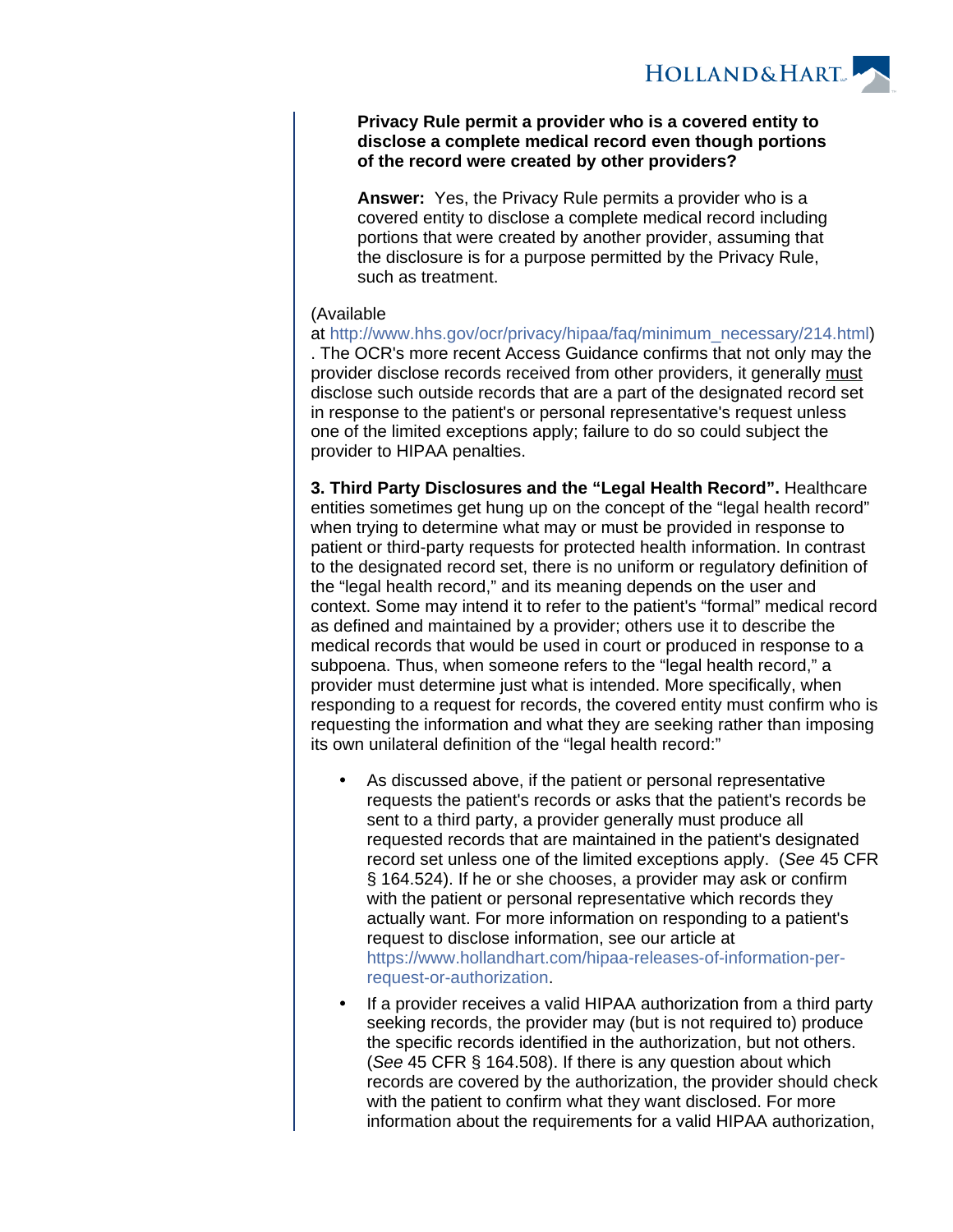

#### **Privacy Rule permit a provider who is a covered entity to disclose a complete medical record even though portions of the record were created by other providers?**

**Answer:** Yes, the Privacy Rule permits a provider who is a covered entity to disclose a complete medical record including portions that were created by another provider, assuming that the disclosure is for a purpose permitted by the Privacy Rule, such as treatment.

### (Available

at [http://www.hhs.gov/ocr/privacy/hipaa/faq/minimum\\_necessary/214.html\)](http://www.hhs.gov/ocr/privacy/hipaa/faq/minimum_necessary/214.html) . The OCR's more recent Access Guidance confirms that not only may the provider disclose records received from other providers, it generally must disclose such outside records that are a part of the designated record set in response to the patient's or personal representative's request unless one of the limited exceptions apply; failure to do so could subject the provider to HIPAA penalties.

**3. Third Party Disclosures and the "Legal Health Record".** Healthcare entities sometimes get hung up on the concept of the "legal health record" when trying to determine what may or must be provided in response to patient or third-party requests for protected health information. In contrast to the designated record set, there is no uniform or regulatory definition of the "legal health record," and its meaning depends on the user and context. Some may intend it to refer to the patient's "formal" medical record as defined and maintained by a provider; others use it to describe the medical records that would be used in court or produced in response to a subpoena. Thus, when someone refers to the "legal health record," a provider must determine just what is intended. More specifically, when responding to a request for records, the covered entity must confirm who is requesting the information and what they are seeking rather than imposing its own unilateral definition of the "legal health record:"

- As discussed above, if the patient or personal representative requests the patient's records or asks that the patient's records be sent to a third party, a provider generally must produce all requested records that are maintained in the patient's designated record set unless one of the limited exceptions apply. (See 45 CFR § 164.524). If he or she chooses, a provider may ask or confirm with the patient or personal representative which records they actually want. For more information on responding to a patient's request to disclose information, see our article at [https://www.hollandhart.com/hipaa-releases-of-information-per](https://www.hollandhart.com/hipaa-releases-of-information-per-request-or-authorization)[request-or-authorization.](https://www.hollandhart.com/hipaa-releases-of-information-per-request-or-authorization)
- If a provider receives a valid HIPAA authorization from a third party seeking records, the provider may (but is not required to) produce the specific records identified in the authorization, but not others. (See 45 CFR § 164.508). If there is any question about which records are covered by the authorization, the provider should check with the patient to confirm what they want disclosed. For more information about the requirements for a valid HIPAA authorization,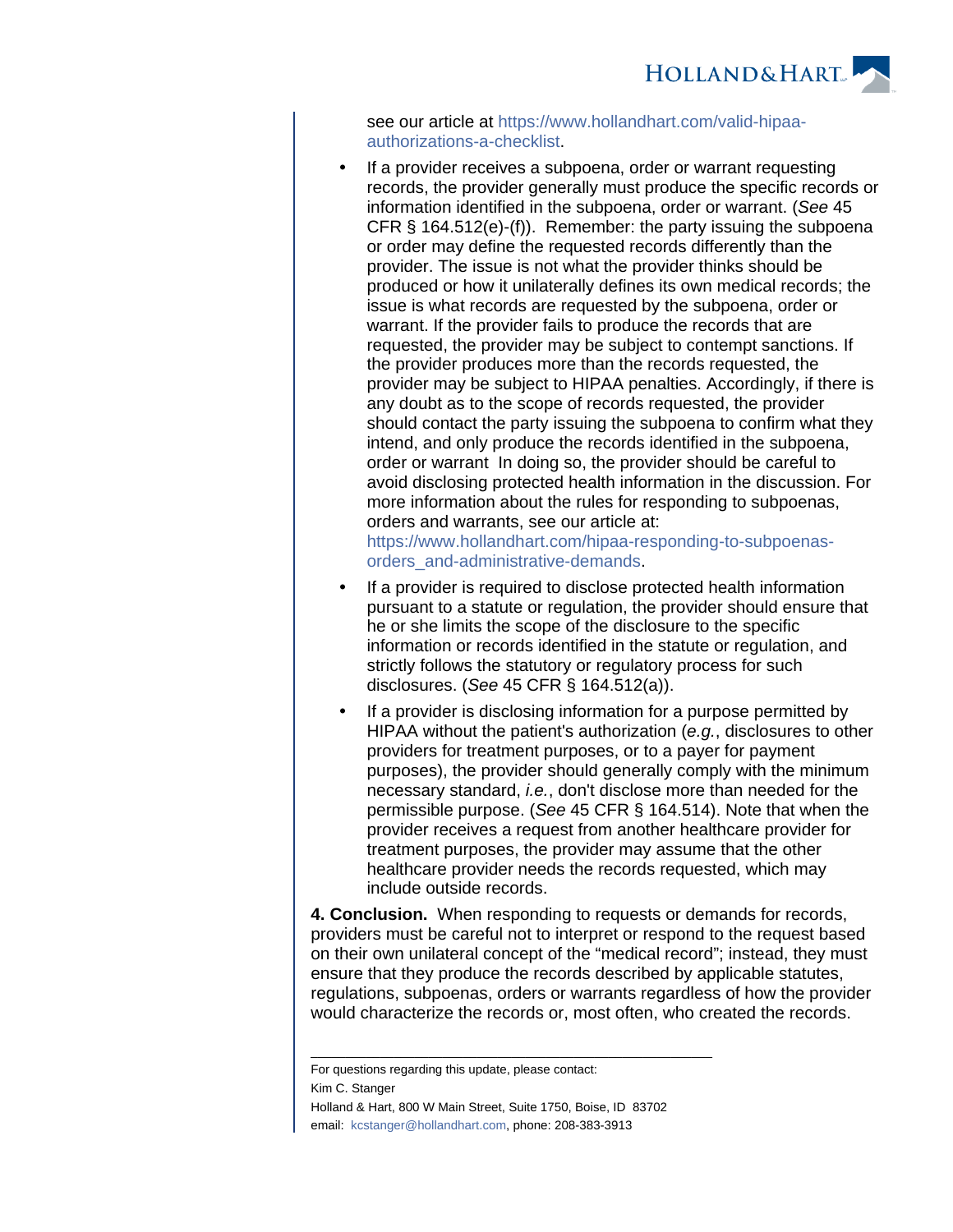

see our article at [https://www.hollandhart.com/valid-hipaa](https://www.hollandhart.com/valid-hipaa-authorizations-a-checklist)[authorizations-a-checklist.](https://www.hollandhart.com/valid-hipaa-authorizations-a-checklist)

 If a provider receives a subpoena, order or warrant requesting records, the provider generally must produce the specific records or information identified in the subpoena, order or warrant. (See 45 CFR § 164.512(e)-(f)). Remember: the party issuing the subpoena or order may define the requested records differently than the provider. The issue is not what the provider thinks should be produced or how it unilaterally defines its own medical records; the issue is what records are requested by the subpoena, order or warrant. If the provider fails to produce the records that are requested, the provider may be subject to contempt sanctions. If the provider produces more than the records requested, the provider may be subject to HIPAA penalties. Accordingly, if there is any doubt as to the scope of records requested, the provider should contact the party issuing the subpoena to confirm what they intend, and only produce the records identified in the subpoena, order or warrant In doing so, the provider should be careful to avoid disclosing protected health information in the discussion. For more information about the rules for responding to subpoenas, orders and warrants, see our article at: [https://www.hollandhart.com/hipaa-responding-to-subpoenas-](https://www.hollandhart.com/hipaa-responding-to-subpoenas-orders_and-administrative-demands)

[orders\\_and-administrative-demands.](https://www.hollandhart.com/hipaa-responding-to-subpoenas-orders_and-administrative-demands)

- If a provider is required to disclose protected health information pursuant to a statute or regulation, the provider should ensure that he or she limits the scope of the disclosure to the specific information or records identified in the statute or regulation, and strictly follows the statutory or regulatory process for such disclosures. (See 45 CFR § 164.512(a)).
- If a provider is disclosing information for a purpose permitted by HIPAA without the patient's authorization (e.g., disclosures to other providers for treatment purposes, or to a payer for payment purposes), the provider should generally comply with the minimum necessary standard, i.e., don't disclose more than needed for the permissible purpose. (See 45 CFR § 164.514). Note that when the provider receives a request from another healthcare provider for treatment purposes, the provider may assume that the other healthcare provider needs the records requested, which may include outside records.

**4. Conclusion.** When responding to requests or demands for records, providers must be careful not to interpret or respond to the request based on their own unilateral concept of the "medical record"; instead, they must ensure that they produce the records described by applicable statutes, regulations, subpoenas, orders or warrants regardless of how the provider would characterize the records or, most often, who created the records.

Kim C. Stanger

Holland & Hart, 800 W Main Street, Suite 1750, Boise, ID 83702 email: [kcstanger@hollandhart.com](mailto:kcstanger@hollandhart.com), phone: 208-383-3913

\_\_\_\_\_\_\_\_\_\_\_\_\_\_\_\_\_\_\_\_\_\_\_\_\_\_\_\_\_\_\_\_\_\_\_\_\_\_\_\_\_\_\_\_\_\_\_\_\_\_\_\_\_\_\_\_\_\_

For questions regarding this update, please contact: